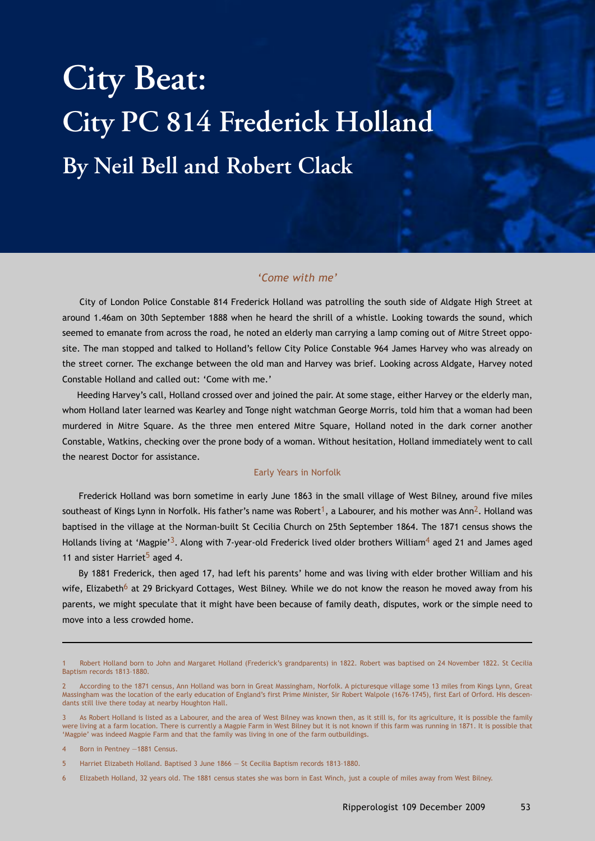# **City Beat: City PC 814 Frederick Holland By Neil Bell and Robert Clack**

## *'Come with me'*

City of London Police Constable 814 Frederick Holland was patrolling the south side of Aldgate High Street at around 1.46am on 30th September 1888 when he heard the shrill of a whistle. Looking towards the sound, which seemed to emanate from across the road, he noted an elderly man carrying a lamp coming out of Mitre Street opposite. The man stopped and talked to Holland's fellow City Police Constable 964 James Harvey who was already on the street corner. The exchange between the old man and Harvey was brief. Looking across Aldgate, Harvey noted Constable Holland and called out: 'Come with me.'

Heeding Harvey's call, Holland crossed over and joined the pair. At some stage, either Harvey or the elderly man, whom Holland later learned was Kearley and Tonge night watchman George Morris, told him that a woman had been murdered in Mitre Square. As the three men entered Mitre Square, Holland noted in the dark corner another Constable, Watkins, checking over the prone body of a woman. Without hesitation, Holland immediately went to call the nearest Doctor for assistance.

#### Early Years in Norfolk

Frederick Holland was born sometime in early June 1863 in the small village of West Bilney, around five miles southeast of Kings Lynn in Norfolk. His father's name was Robert<sup>1</sup>, a Labourer, and his mother was Ann<sup>2</sup>. Holland was baptised in the village at the Norman-built St Cecilia Church on 25th September 1864. The 1871 census shows the Hollands living at 'Magpie'<sup>3</sup>. Along with 7-year-old Frederick lived older brothers William<sup>4</sup> aged 21 and James aged 11 and sister Harriet<sup>5</sup> aged 4.

By 1881 Frederick, then aged 17, had left his parents' home and was living with elder brother William and his wife, Elizabeth<sup>6</sup> at 29 Brickyard Cottages, West Bilney. While we do not know the reason he moved away from his parents, we might speculate that it might have been because of family death, disputes, work or the simple need to move into a less crowded home.

<sup>1</sup> Robert Holland born to John and Margaret Holland (Frederick's grandparents) in 1822. Robert was baptised on 24 November 1822. St Cecilia Baptism records 1813–1880.

<sup>2</sup> According to the 1871 census, Ann Holland was born in Great Massingham, Norfolk. A picturesque village some 13 miles from Kings Lynn, Great Massingham was the location of the early education of England's first Prime Minister, Sir Robert Walpole (1676–1745), first Earl of Orford. His descendants still live there today at nearby Houghton Hall.

As Robert Holland is listed as a Labourer, and the area of West Bilney was known then, as it still is, for its agriculture, it is possible the family were living at a farm location. There is currently a Magpie Farm in West Bilney but it is not known if this farm was running in 1871. It is possible that 'Magpie' was indeed Magpie Farm and that the family was living in one of the farm outbuildings.

<sup>4</sup> Born in Pentney —1881 Census.

<sup>5</sup> Harriet Elizabeth Holland. Baptised 3 June 1866 — St Cecilia Baptism records 1813–1880.

<sup>6</sup> Elizabeth Holland, 32 years old. The 1881 census states she was born in East Winch, just a couple of miles away from West Bilney.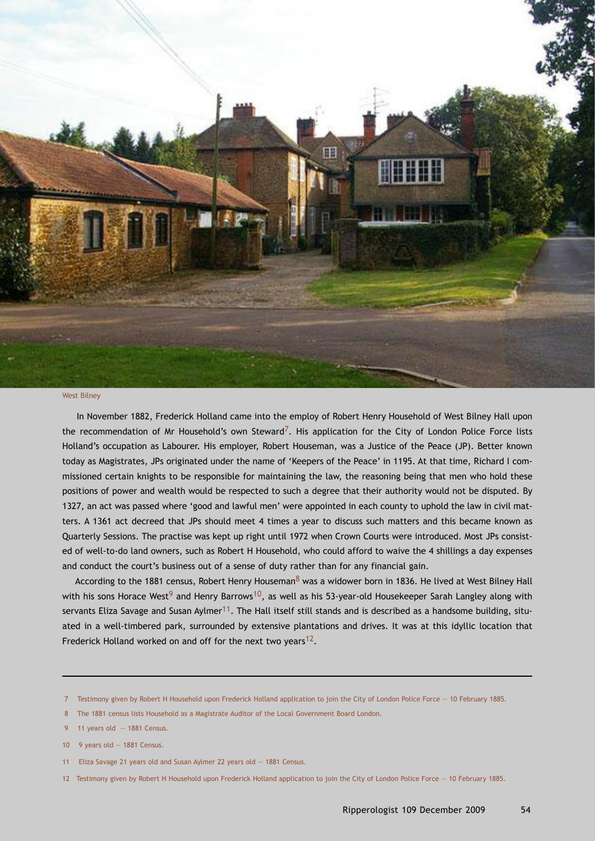

#### West Bilney

In November 1882, Frederick Holland came into the employ of Robert Henry Household of West Bilney Hall upon the recommendation of Mr Household's own Steward<sup>7</sup>. His application for the City of London Police Force lists Holland's occupation as Labourer. His employer, Robert Houseman, was a Justice of the Peace (JP). Better known today as Magistrates, JPs originated under the name of 'Keepers of the Peace' in 1195. At that time, Richard I commissioned certain knights to be responsible for maintaining the law, the reasoning being that men who hold these positions of power and wealth would be respected to such a degree that their authority would not be disputed. By 1327, an act was passed where 'good and lawful men' were appointed in each county to uphold the law in civil matters. A 1361 act decreed that JPs should meet 4 times a year to discuss such matters and this became known as Quarterly Sessions. The practise was kept up right until 1972 when Crown Courts were introduced. Most JPs consisted of well-to-do land owners, such as Robert H Household, who could afford to waive the 4 shillings a day expenses and conduct the court's business out of a sense of duty rather than for any financial gain.

According to the 1881 census, Robert Henry Houseman<sup>8</sup> was a widower born in 1836. He lived at West Bilney Hall with his sons Horace West<sup>9</sup> and Henry Barrows<sup>10</sup>, as well as his 53-year-old Housekeeper Sarah Langley along with servants Eliza Savage and Susan Aylmer<sup>11</sup>. The Hall itself still stands and is described as a handsome building, situated in a well-timbered park, surrounded by extensive plantations and drives. It was at this idyllic location that Frederick Holland worked on and off for the next two years<sup>12</sup>.

<sup>7</sup> Testimony given by Robert H Household upon Frederick Holland application to join the City of London Police Force — 10 February 1885.

<sup>8</sup> The 1881 census lists Household as a Magistrate Auditor of the Local Government Board London.

<sup>9 11</sup> years old  $-1881$  Census.

<sup>10</sup> 9 years old — 1881 Census.

<sup>11</sup> Eliza Savage 21 years old and Susan Aylmer 22 years old — 1881 Census.

<sup>12</sup> Testimony given by Robert H Household upon Frederick Holland application to join the City of London Police Force — 10 February 1885.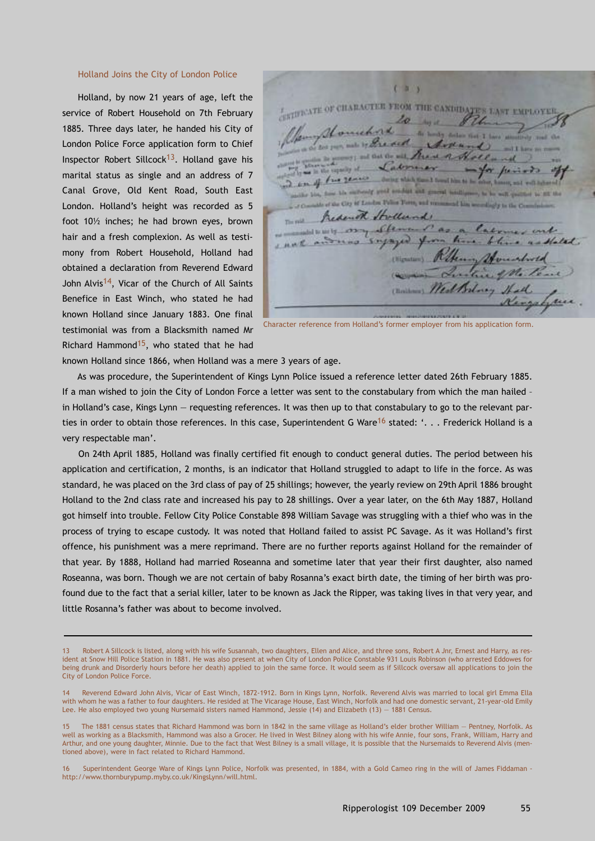## Holland Joins the City of London Police

Holland, by now 21 years of age, left the service of Robert Household on 7th February 1885. Three days later, he handed his City of London Police Force application form to Chief Inspector Robert Sillcock<sup>13</sup>. Holland gave his marital status as single and an address of 7 Canal Grove, Old Kent Road, South East London. Holland's height was recorded as 5 foot 10½ inches; he had brown eyes, brown hair and a fresh complexion. As well as testimony from Robert Household, Holland had obtained a declaration from Reverend Edward John Alvis14, Vicar of the Church of All Saints Benefice in East Winch, who stated he had known Holland since January 1883. One final testimonial was from a Blacksmith named Mr Richard Hammond<sup>15</sup>, who stated that he had

a ARTIFICATE OF CHARACTER FROM THE CANDIDATE'S LAST EMPLOYER  $2 - 24$ 1 Sound him as in ally good amples and graced annium men, the big **WIND MA** City of London Palms Form, and recommend him and disable to the C smith Strollund, Stemment as  $-22$ Enjaged from him stone (Wignaturn) his ento Belong Sta

Character reference from Holland's former employer from his application form.

known Holland since 1866, when Holland was a mere 3 years of age.

As was procedure, the Superintendent of Kings Lynn Police issued a reference letter dated 26th February 1885. If a man wished to join the City of London Force a letter was sent to the constabulary from which the man hailed – in Holland's case, Kings Lynn — requesting references. It was then up to that constabulary to go to the relevant parties in order to obtain those references. In this case, Superintendent G Ware<sup>16</sup> stated: '. . . Frederick Holland is a very respectable man'.

On 24th April 1885, Holland was finally certified fit enough to conduct general duties. The period between his application and certification, 2 months, is an indicator that Holland struggled to adapt to life in the force. As was standard, he was placed on the 3rd class of pay of 25 shillings; however, the yearly review on 29th April 1886 brought Holland to the 2nd class rate and increased his pay to 28 shillings. Over a year later, on the 6th May 1887, Holland got himself into trouble. Fellow City Police Constable 898 William Savage was struggling with a thief who was in the process of trying to escape custody. It was noted that Holland failed to assist PC Savage. As it was Holland's first offence, his punishment was a mere reprimand. There are no further reports against Holland for the remainder of that year. By 1888, Holland had married Roseanna and sometime later that year their first daughter, also named Roseanna, was born. Though we are not certain of baby Rosanna's exact birth date, the timing of her birth was profound due to the fact that a serial killer, later to be known as Jack the Ripper, was taking lives in that very year, and little Rosanna's father was about to become involved.

<sup>13</sup> Robert A Sillcock is listed, along with his wife Susannah, two daughters, Ellen and Alice, and three sons, Robert A Jnr, Ernest and Harry, as resident at Snow Hill Police Station in 1881. He was also present at when City of London Police Constable 931 Louis Robinson (who arrested Eddowes for being drunk and Disorderly hours before her death) applied to join the same force. It would seem as if Sillcock oversaw all applications to join the City of London Police Force.

<sup>14</sup> Reverend Edward John Alvis, Vicar of East Winch, 1872-1912. Born in Kings Lynn, Norfolk. Reverend Alvis was married to local girl Emma Ella with whom he was a father to four daughters. He resided at The Vicarage House, East Winch, Norfolk and had one domestic servant, 21-year-old Emily Lee. He also employed two young Nursemaid sisters named Hammond, Jessie (14) and Elizabeth (13) — 1881 Census.

<sup>15</sup> The 1881 census states that Richard Hammond was born in 1842 in the same village as Holland's elder brother William — Pentney, Norfolk. As well as working as a Blacksmith, Hammond was also a Grocer. He lived in West Bilney along with his wife Annie, four sons, Frank, William, Harry and Arthur, and one young daughter, Minnie. Due to the fact that West Bilney is a small village, it is possible that the Nursemaids to Reverend Alvis (mentioned above), were in fact related to Richard Hammond.

<sup>16</sup> Superintendent George Ware of Kings Lynn Police, Norfolk was presented, in 1884, with a Gold Cameo ring in the will of James Fiddaman http://www.thornburypump.myby.co.uk/KingsLynn/will.html.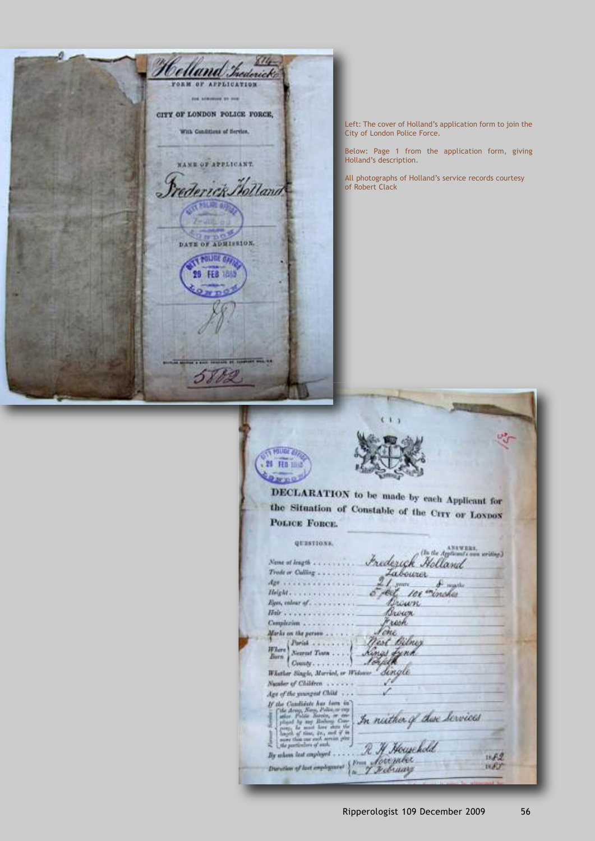Helland Trederick CITY OF LONDON POLICE FORCE, With Conditions of Hertler, **WAND OF APPLICANT** Trederick Molland 而残魔奇 DATE OF ADMISSION. POLICE OF FEB 189 5882

Left: The cover of Holland's application form to join the City of London Police Force.

Below: Page 1 from the application form, giving Holland's description.

All photographs of Holland's service records courtesy of Robert Clack

**THUGE OR** 21 Ho mid DECLARATION to be made by each Applicant for the Situation of Constable of the CITY or Loxnox **POLICE FORCE.** QUESTIONS. Frederick Holland Nume of Jeogth . . . . . . . . . . . Trode or Culling . . . . . . . . .  $\frac{2}{\sigma}$  for  $\frac{2}{\sigma}$  for  $\frac{2}{\sigma}$  for  $\frac{2}{\sigma}$  $\oint$  mathe Brown Brown  $Hv$ . Jone, Complexion... Marks on the person . . . . . . Marks on the person  $\ldots$ <br> $\n \, \text{F2}$   $\text{F3}$   $\ldots$ West Bilmy Kings Lynk Neurast Tearn . . . .  $\begin{bmatrix} \textit{Norm} & \textit{Norm} & \dots \\ \textit{County} & \dots & \dots \end{bmatrix}$ Whather Single, Married, or Weisser dingle Number of Children . . . . . . . Age of the youngest Child . . .  $\label{eq:2} \begin{array}{ll} \textit{If the Cambridge Area term in}\\ \textit{if the decay, New-ferm} & \textit{if the decay, New-ferm} \\ \textit{if the decay, New-ferm} & \textit{if the energy, new-ferm} \\ \textit{if the energy is a mass of the energy, new-ferm} \\ \textit{if the energy is a mass of the energy, new-ferm} \\ \textit{if the potential of the energy, new-ferm} \\ \textit{if the potential of the energy.} \end{array}$ In nither of these hervies R H Household By whom lest employed . .  $18,52$ Soumber  $1887$ Duration of last employment îм.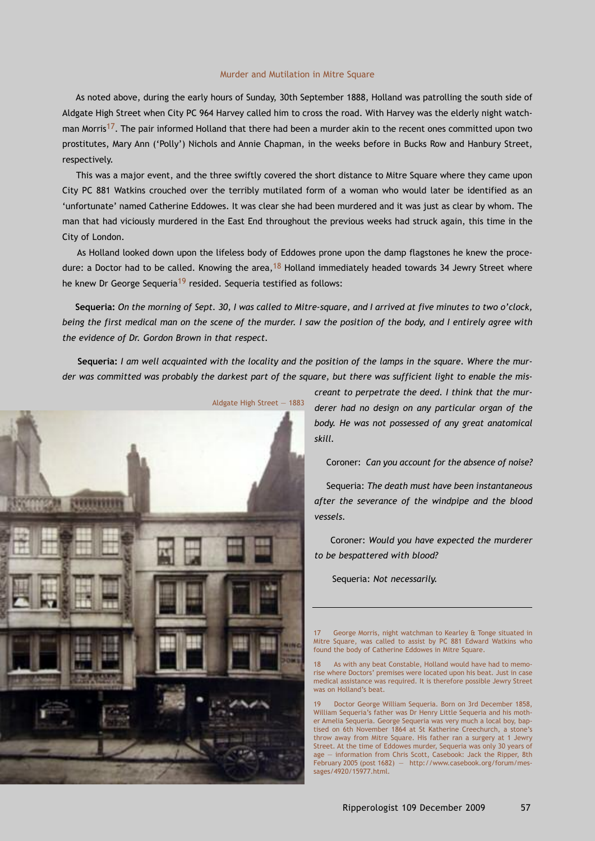## Murder and Mutilation in Mitre Square

As noted above, during the early hours of Sunday, 30th September 1888, Holland was patrolling the south side of Aldgate High Street when City PC 964 Harvey called him to cross the road. With Harvey was the elderly night watchman Morris<sup>17</sup>. The pair informed Holland that there had been a murder akin to the recent ones committed upon two prostitutes, Mary Ann ('Polly') Nichols and Annie Chapman, in the weeks before in Bucks Row and Hanbury Street, respectively.

This was a major event, and the three swiftly covered the short distance to Mitre Square where they came upon City PC 881 Watkins crouched over the terribly mutilated form of a woman who would later be identified as an 'unfortunate' named Catherine Eddowes. It was clear she had been murdered and it was just as clear by whom. The man that had viciously murdered in the East End throughout the previous weeks had struck again, this time in the City of London.

As Holland looked down upon the lifeless body of Eddowes prone upon the damp flagstones he knew the procedure: a Doctor had to be called. Knowing the area,  $18$  Holland immediately headed towards 34 Jewry Street where he knew Dr George Sequeria<sup>19</sup> resided. Sequeria testified as follows:

Sequeria: On the morning of Sept. 30, I was called to Mitre-square, and I arrived at five minutes to two o'clock, being the first medical man on the scene of the murder. I saw the position of the body, and I entirely agree with *the evidence of Dr. Gordon Brown in that respect.*

Sequeria: I am well acquainted with the locality and the position of the lamps in the square. Where the murder was committed was probably the darkest part of the square, but there was sufficient light to enable the mis-



*creant to perpetrate the deed. I think that the murderer had no design on any particular organ of the body. He was not possessed of any great anatomical skill.*

Coroner: *Can you account for the absence of noise?*

Sequeria: *The death must have been instantaneous after the severance of the windpipe and the blood vessels.*

Coroner: *Would you have expected the murderer to be bespattered with blood?*

Sequeria: *Not necessarily.*

George Morris, night watchman to Kearley & Tonge situated in Mitre Square, was called to assist by PC 881 Edward Watkins who found the body of Catherine Eddowes in Mitre Square.

18 As with any beat Constable, Holland would have had to memorise where Doctors' premises were located upon his beat. Just in case medical assistance was required. It is therefore possible Jewry Street was on Holland's beat.

19 Doctor George William Sequeria. Born on 3rd December 1858, William Sequeria's father was Dr Henry Little Sequeria and his mother Amelia Sequeria. George Sequeria was very much a local boy, baptised on 6th November 1864 at St Katherine Creechurch, a stone's throw away from Mitre Square. His father ran a surgery at 1 Jewry Street. At the time of Eddowes murder, Sequeria was only 30 years of age — information from Chris Scott, Casebook: Jack the Ripper, 8th February 2005 (post 1682) — http://www.casebook.org/forum/messages/4920/15977.html.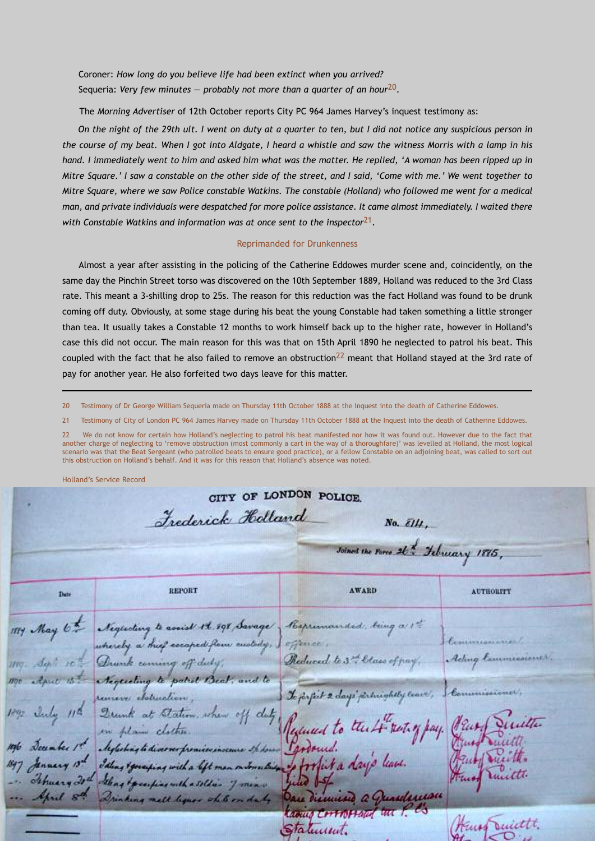Coroner: *How long do you believe life had been extinct when you arrived?* Sequeria: *Very few minutes — probably not more than a quarter of an hour*20.

The *Morning Advertiser* of 12th October reports City PC 964 James Harvey's inquest testimony as:

On the night of the 29th ult. I went on duty at a quarter to ten, but I did not notice any suspicious person in the course of my beat. When I got into Aldgate, I heard a whistle and saw the witness Morris with a lamp in his hand. I immediately went to him and asked him what was the matter. He replied, 'A woman has been ripped up in Mitre Square.' I saw a constable on the other side of the street, and I said, 'Come with me.' We went together to Mitre Square, where we saw Police constable Watkins. The constable (Holland) who followed me went for a medical man, and private individuals were despatched for more police assistance. It came almost immediately. I waited there *with Constable Watkins and information was at once sent to the inspector*21.

### Reprimanded for Drunkenness

Almost a year after assisting in the policing of the Catherine Eddowes murder scene and, coincidently, on the same day the Pinchin Street torso was discovered on the 10th September 1889, Holland was reduced to the 3rd Class rate. This meant a 3-shilling drop to 25s. The reason for this reduction was the fact Holland was found to be drunk coming off duty. Obviously, at some stage during his beat the young Constable had taken something a little stronger than tea. It usually takes a Constable 12 months to work himself back up to the higher rate, however in Holland's case this did not occur. The main reason for this was that on 15th April 1890 he neglected to patrol his beat. This coupled with the fact that he also failed to remove an obstruction<sup>22</sup> meant that Holland stayed at the 3rd rate of pay for another year. He also forfeited two days leave for this matter.

20 Testimony of Dr George William Sequeria made on Thursday 11th October 1888 at the Inquest into the death of Catherine Eddowes.

21 Testimony of City of London PC 964 James Harvey made on Thursday 11th October 1888 at the Inquest into the death of Catherine Eddowes.

22 We do not know for certain how Holland's neglecting to patrol his beat manifested nor how it was found out. However due to the fact that another charge of neglecting to 'remove obstruction (most commonly a cart in the way of a thoroughfare)' was levelled at Holland, the most logical scenario was that the Beat Sergeant (who patrolled beats to ensure good practice), or a fellow Constable on an adjoining beat, was called to sort out this obstruction on Holland's behalf. And it was for this reason that Holland's absence was noted.

Holland's Service Record

CITY OF LONDON POLICE. Frederick Holland No.  $\overline{\ell}$ III. Joined the Force 26 x Ichuary 1885, **REPORT AWARD AUTHORITY** Date Neglecting to assist 1t. 198 Savage Reprimanded, being a 1th whereby a meet escaped flow custody, effence. Ading law Reduced to 3th Class Drunk coming off duty Acqueting to patrick Beat, and to Commissioner, To jorfiet 2 days principally cours, concres cloturatio July 11ª Drunk at Station, when off Reduced to the 4 rest of pay. Plus, en plan clothes Aleglishing to diverser promises in Tardound. of forfit a days have Idling & generaling with a left man monschip charged that fourter with a soldier of mind Sprit 8th uleman Drinking melt liquor while on daty university als **ROBIN CERTISFICO Recent** King Smitht. Statement.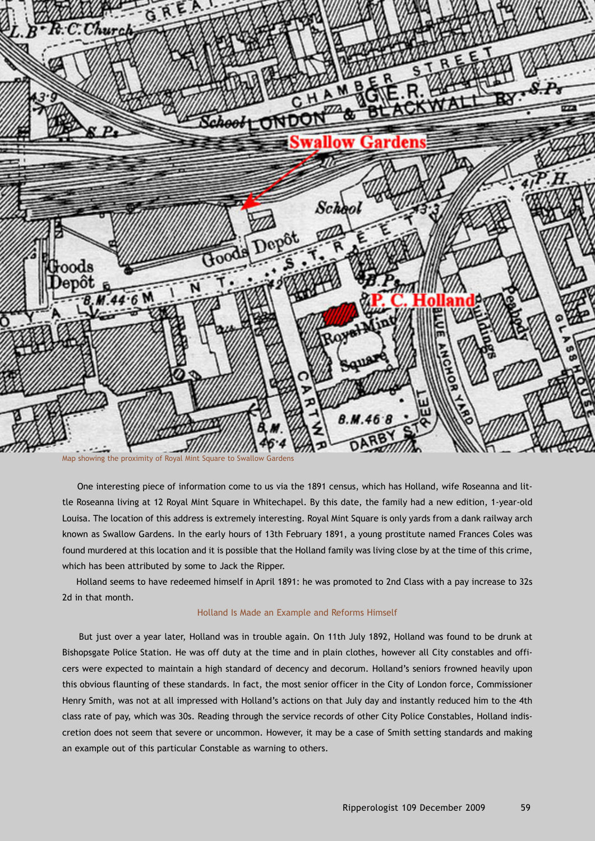

One interesting piece of information come to us via the 1891 census, which has Holland, wife Roseanna and little Roseanna living at 12 Royal Mint Square in Whitechapel. By this date, the family had a new edition, 1-year-old Louisa. The location of this address is extremely interesting. Royal Mint Square is only yards from a dank railway arch known as Swallow Gardens. In the early hours of 13th February 1891, a young prostitute named Frances Coles was found murdered at this location and it is possible that the Holland family was living close by at the time of this crime, which has been attributed by some to Jack the Ripper.

Holland seems to have redeemed himself in April 1891: he was promoted to 2nd Class with a pay increase to 32s 2d in that month.

## Holland Is Made an Example and Reforms Himself

But just over a year later, Holland was in trouble again. On 11th July 1892, Holland was found to be drunk at Bishopsgate Police Station. He was off duty at the time and in plain clothes, however all City constables and officers were expected to maintain a high standard of decency and decorum. Holland's seniors frowned heavily upon this obvious flaunting of these standards. In fact, the most senior officer in the City of London force, Commissioner Henry Smith, was not at all impressed with Holland's actions on that July day and instantly reduced him to the 4th class rate of pay, which was 30s. Reading through the service records of other City Police Constables, Holland indiscretion does not seem that severe or uncommon. However, it may be a case of Smith setting standards and making an example out of this particular Constable as warning to others.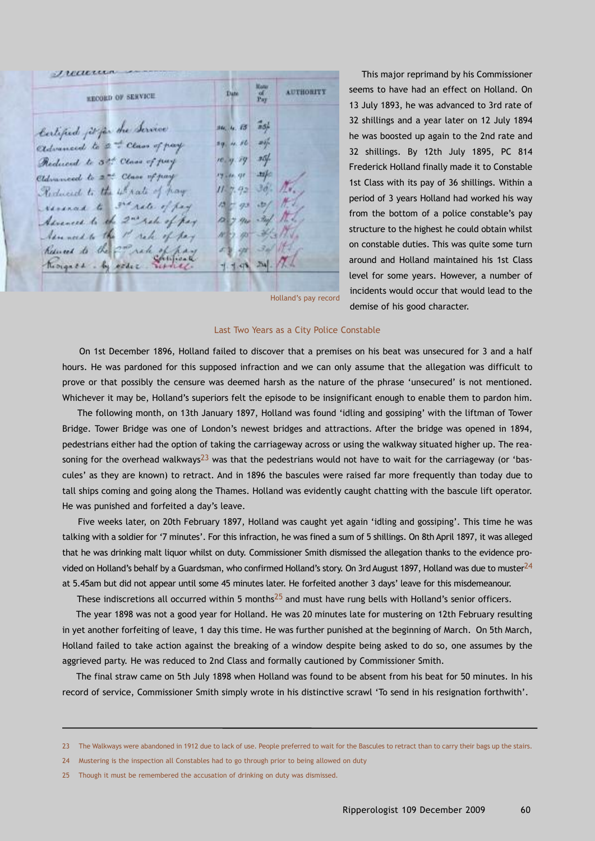Treature **AUTHORITY**  $\frac{\omega}{1-\nu}$ **Date KECORD OF SERVICE** Certified poper the Service  $\tilde{a}$ 16, 4, 13  $41.86$  $24 - 5$ edvanced to 2 to Class of pay są. 25f. Reduced to 3th Class of pay  $re, q, 79$  $H$ Eldmoneed to 2nd Class of pay  $\alpha$ Reduced to the 4th rate of hay  $3d/$ 42 mad to state of pay  $73$  $+52/$ Advanced to the 2nd rate of pay  $-20$ m Assembly the P rate of pay 涵 Reserved to the 2m rate change 44  $254$ thoughthe by ester  $1.48$ 

This major reprimand by his Commissioner seems to have had an effect on Holland. On 13 July 1893, he was advanced to 3rd rate of 32 shillings and a year later on 12 July 1894 he was boosted up again to the 2nd rate and 32 shillings. By 12th July 1895, PC 814 Frederick Holland finally made it to Constable 1st Class with its pay of 36 shillings. Within a period of 3 years Holland had worked his way from the bottom of a police constable's pay structure to the highest he could obtain whilst on constable duties. This was quite some turn around and Holland maintained his 1st Class level for some years. However, a number of incidents would occur that would lead to the demise of his good character.

Holland's pay record

#### Last Two Years as a City Police Constable

On 1st December 1896, Holland failed to discover that a premises on his beat was unsecured for 3 and a half hours. He was pardoned for this supposed infraction and we can only assume that the allegation was difficult to prove or that possibly the censure was deemed harsh as the nature of the phrase 'unsecured' is not mentioned. Whichever it may be, Holland's superiors felt the episode to be insignificant enough to enable them to pardon him.

The following month, on 13th January 1897, Holland was found 'idling and gossiping' with the liftman of Tower Bridge. Tower Bridge was one of London's newest bridges and attractions. After the bridge was opened in 1894, pedestrians either had the option of taking the carriageway across or using the walkway situated higher up. The reasoning for the overhead walkways<sup>23</sup> was that the pedestrians would not have to wait for the carriageway (or 'bascules' as they are known) to retract. And in 1896 the bascules were raised far more frequently than today due to tall ships coming and going along the Thames. Holland was evidently caught chatting with the bascule lift operator. He was punished and forfeited a day's leave.

Five weeks later, on 20th February 1897, Holland was caught yet again 'idling and gossiping'. This time he was talking with a soldier for '7 minutes'. For this infraction, he was fined a sum of 5 shillings. On 8th April 1897, it was alleged that he was drinking malt liquor whilst on duty. Commissioner Smith dismissed the allegation thanks to the evidence provided on Holland's behalf by a Guardsman, who confirmed Holland's story. On 3rd August 1897, Holland was due to muster $^{24}$ at 5.45am but did not appear until some 45 minutes later. He forfeited another 3 days' leave for this misdemeanour.

These indiscretions all occurred within 5 months<sup>25</sup> and must have rung bells with Holland's senior officers.

The year 1898 was not a good year for Holland. He was 20 minutes late for mustering on 12th February resulting in yet another forfeiting of leave, 1 day this time. He was further punished at the beginning of March. On 5th March, Holland failed to take action against the breaking of a window despite being asked to do so, one assumes by the aggrieved party. He was reduced to 2nd Class and formally cautioned by Commissioner Smith.

The final straw came on 5th July 1898 when Holland was found to be absent from his beat for 50 minutes. In his record of service, Commissioner Smith simply wrote in his distinctive scrawl 'To send in his resignation forthwith'.

<sup>23</sup> The Walkways were abandoned in 1912 due to lack of use. People preferred to wait for the Bascules to retract than to carry their bags up the stairs.

<sup>24</sup> Mustering is the inspection all Constables had to go through prior to being allowed on duty

<sup>25</sup> Though it must be remembered the accusation of drinking on duty was dismissed.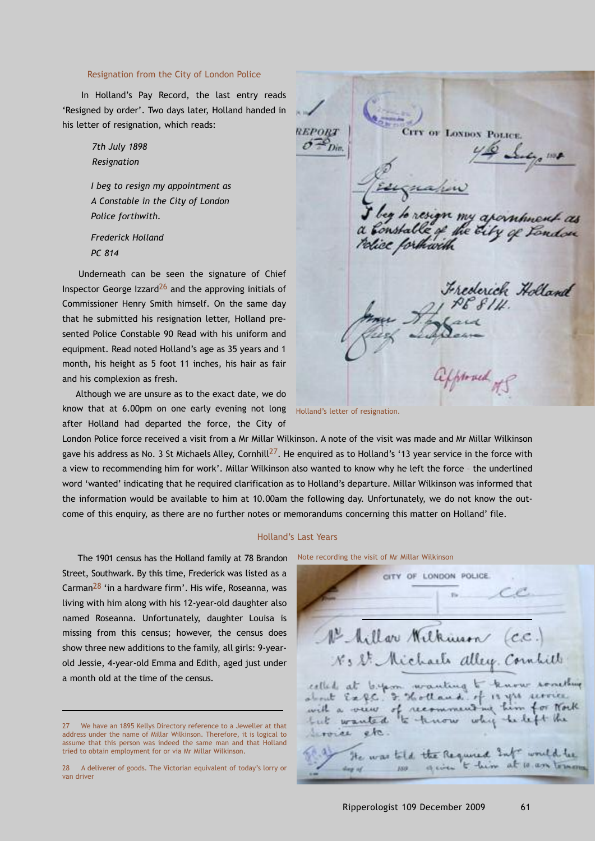## Resignation from the City of London Police

In Holland's Pay Record, the last entry reads 'Resigned by order'. Two days later, Holland handed in his letter of resignation, which reads:

> *7th July 1898 Resignation*

*I beg to resign my appointment as A Constable in the City of London Police forthwith.*

*Frederick Holland PC 814*

Underneath can be seen the signature of Chief Inspector George Izzard $^{26}$  and the approving initials of Commissioner Henry Smith himself. On the same day that he submitted his resignation letter, Holland presented Police Constable 90 Read with his uniform and equipment. Read noted Holland's age as 35 years and 1 month, his height as 5 foot 11 inches, his hair as fair and his complexion as fresh.

Although we are unsure as to the exact date, we do know that at 6.00pm on one early evening not long Holland's letter of resignation. after Holland had departed the force, the City of

London Police force received a visit from a Mr Millar Wilkinson. A note of the visit was made and Mr Millar Wilkinson gave his address as No. 3 St Michaels Alley, Cornhill<sup>27</sup>. He enquired as to Holland's '13 year service in the force with a view to recommending him for work'. Millar Wilkinson also wanted to know why he left the force – the underlined word 'wanted' indicating that he required clarification as to Holland's departure. Millar Wilkinson was informed that the information would be available to him at 10.00am the following day. Unfortunately, we do not know the outcome of this enquiry, as there are no further notes or memorandums concerning this matter on Holland' file.

#### Holland's Last Years

The 1901 census has the Holland family at 78 Brandon Street, Southwark. By this time, Frederick was listed as a Carman28 'in a hardware firm'. His wife, Roseanna, was living with him along with his 12-year-old daughter also named Roseanna. Unfortunately, daughter Louisa is missing from this census; however, the census does show three new additions to the family, all girls: 9-yearold Jessie, 4-year-old Emma and Edith, aged just under a month old at the time of the census.

CITY OF LONDON POLICE. **REPORT**  $\sum_{D}$  $4,100$ n my apanhnent as A the G y of Ton rlice forthwith Frederick Holland approved of S

Note recording the visit of Mr Millar Wilkinson

CITY OF LONDON POLICE 1º Millor Wilkman (C.C. No St. Michaels alley Cornlill celled at 6.4m wanting to know something Expc. I. Holland  $-13.354$  44 ment me him for North very of reco but wanted to know which beleft the etc. Livores He was told the Required Int would be give t him ISO.

<sup>27</sup> We have an 1895 Kellys Directory reference to a Jeweller at that address under the name of Millar Wilkinson. Therefore, it is logical to assume that this person was indeed the same man and that Holland tried to obtain employment for or via Mr Millar Wilkinson.

<sup>28</sup> A deliverer of goods. The Victorian equivalent of today's lorry or van driver